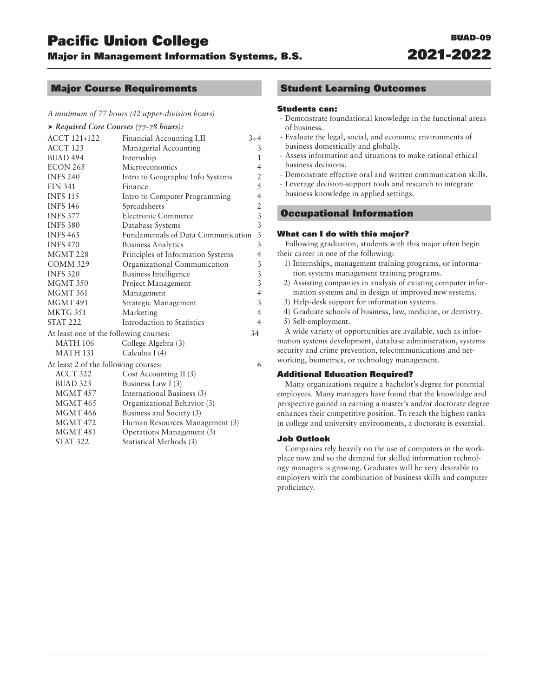# Pacific Union College BUAD-09

**Major in Management Information Systems, B.S.** 

## Major Course Requirements

#### *A minimum of 77 hours (42 upper-division hours)*

| $\blacktriangleright$ Required Core Courses (77-78 hours): |                                    |                                            |
|------------------------------------------------------------|------------------------------------|--------------------------------------------|
| <b>ACCT 121+122</b>                                        | Financial Accounting I, II         | $3+4$                                      |
| ACCT <sub>123</sub>                                        | Managerial Accounting              | 3                                          |
| <b>BUAD 494</b>                                            | Internship                         | $\mathbf{1}$                               |
| ECON 265                                                   | Microeconomics                     | $\overline{4}$                             |
| <b>INFS 240</b>                                            | Intro to Geographic Info Systems   | $\overline{2}$                             |
| <b>FIN 341</b>                                             | Finance                            | 5                                          |
| <b>INFS 115</b>                                            | Intro to Computer Programming      | $\overline{4}$                             |
| <b>INFS 146</b>                                            | Spreadsheets                       |                                            |
| <b>INFS 377</b>                                            | Electronic Commerce                | $\begin{array}{c} 2 \\ 3 \\ 3 \end{array}$ |
| <b>INFS 380</b>                                            | Database Systems                   |                                            |
| <b>INFS 465</b>                                            | Fundamentals of Data Communication | $\overline{3}$                             |
| <b>INFS 470</b>                                            | <b>Business Analytics</b>          | $\overline{3}$                             |
| MGMT <sub>228</sub>                                        | Principles of Information Systems  | 4                                          |
| <b>COMM 329</b>                                            | Organizational Communication       | $\mathfrak{Z}$                             |
| <b>INFS 320</b>                                            | <b>Business Intelligence</b>       | $\mathfrak{Z}$                             |
| MGMT 350                                                   | Project Management                 | $\mathfrak{Z}$                             |
| MGMT 361                                                   | Management                         | $\overline{4}$                             |
| MGMT 491                                                   | Strategic Management               | $\mathfrak{Z}$                             |
| MKTG 351                                                   | Marketing                          | $\overline{4}$                             |
| <b>STAT 222</b>                                            | Introduction to Statistics         | $\overline{4}$                             |
| At least one of the following courses:                     |                                    | 34                                         |
| <b>MATH 106</b>                                            | College Algebra (3)                |                                            |
| <b>MATH 131</b>                                            | Calculus I (4)                     |                                            |
| At least 2 of the following courses:                       |                                    | 6                                          |
| ACCT 322                                                   | Cost Accounting II (3)             |                                            |
| <b>BUAD 325</b>                                            | Business Law I (3)                 |                                            |
| MGMT 457                                                   | International Business (3)         |                                            |
| <b>MGMT 465</b>                                            | Organizational Behavior (3)        |                                            |
| <b>MGMT 466</b>                                            | Business and Society (3)           |                                            |
| <b>MGMT 472</b>                                            | Human Resources Management (3)     |                                            |
| MGMT 481                                                   | Operations Management (3)          |                                            |
| <b>STAT 322</b>                                            | Statistical Methods (3)            |                                            |

### Student Learning Outcomes

#### Students can:

- Demonstrate foundational knowledge in the functional areas of business.
- Evaluate the legal, social, and economic environments of business domestically and globally.
- Assess information and situations to make rational ethical business decisions.
- Demonstrate effective oral and written communication skills.
- Leverage decision-support tools and research to integrate business knowledge in applied settings.

# Occupational Information

#### What can I do with this major?

Following graduation, students with this major often begin their career in one of the following:

- 1) Internships, management training programs, or information systems management training programs.
- 2) Assisting companies in analysis of existing computer information systems and in design of improved new systems.
- 3) Help-desk support for information systems.
- 4) Graduate schools of business, law, medicine, or dentistry.
- 5) Self-employment.

A wide variety of opportunities are available, such as information systems development, database administration, systems security and crime prevention, telecommunications and networking, biometrics, or technology management.

#### Additional Education Required?

Many organizations require a bachelor's degree for potential employees. Many managers have found that the knowledge and perspective gained in earning a master's and/or doctorate degree enhances their competitive position. To reach the highest ranks in college and university environments, a doctorate is essential.

#### Job Outlook

Companies rely heavily on the use of computers in the workplace now and so the demand for skilled information technology managers is growing. Graduates will be very desirable to employers with the combination of business skills and computer proficiency.